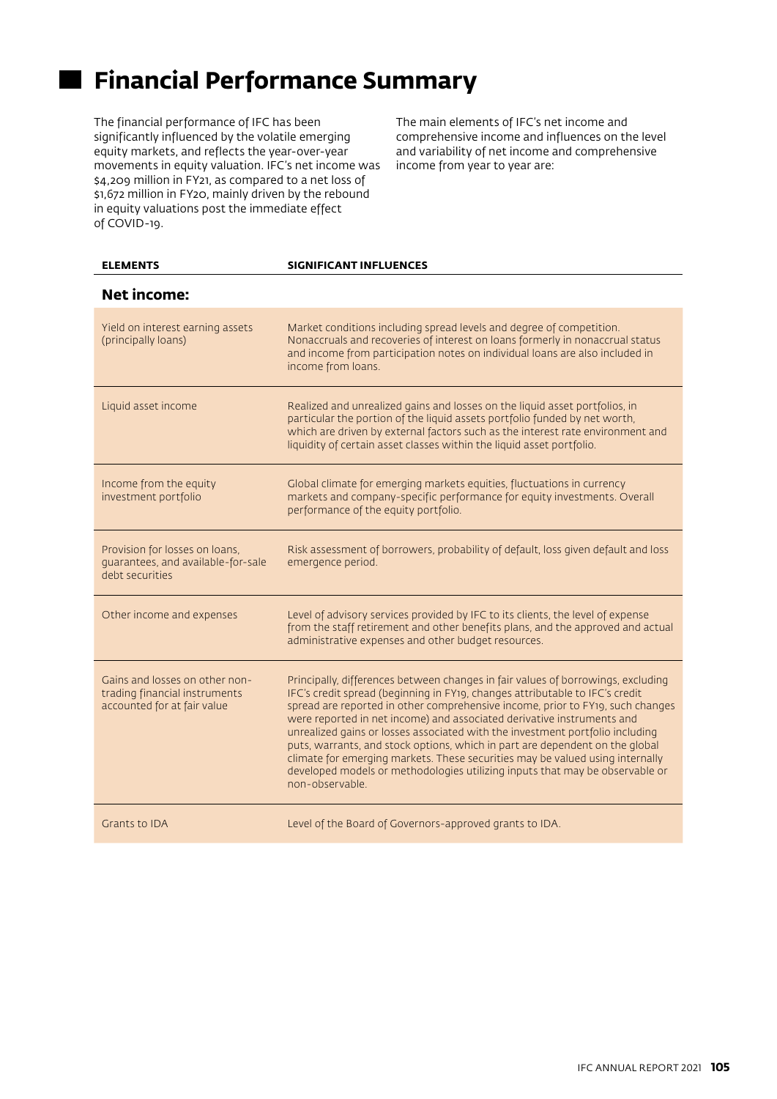# **Financial Performance Summary**

The financial performance of IFC has been significantly influenced by the volatile emerging equity markets, and reflects the year-over-year movements in equity valuation. IFC's net income was \$4,209 million in FY21, as compared to a net loss of \$1,672 million in FY20, mainly driven by the rebound in equity valuations post the immediate effect of COVID-19.

The main elements of IFC's net income and comprehensive income and influences on the level and variability of net income and comprehensive income from year to year are:

| <b>ELEMENTS</b>                                                                                | SIGNIFICANT INFLUENCES                                                                                                                                                                                                                                                                                                                                                                                                                                                                                                                                                                                                                                                            |
|------------------------------------------------------------------------------------------------|-----------------------------------------------------------------------------------------------------------------------------------------------------------------------------------------------------------------------------------------------------------------------------------------------------------------------------------------------------------------------------------------------------------------------------------------------------------------------------------------------------------------------------------------------------------------------------------------------------------------------------------------------------------------------------------|
| <b>Net income:</b>                                                                             |                                                                                                                                                                                                                                                                                                                                                                                                                                                                                                                                                                                                                                                                                   |
| Yield on interest earning assets<br>(principally loans)                                        | Market conditions including spread levels and degree of competition.<br>Nonaccruals and recoveries of interest on loans formerly in nonaccrual status<br>and income from participation notes on individual loans are also included in<br>income from loans.                                                                                                                                                                                                                                                                                                                                                                                                                       |
| Liquid asset income                                                                            | Realized and unrealized gains and losses on the liquid asset portfolios, in<br>particular the portion of the liquid assets portfolio funded by net worth,<br>which are driven by external factors such as the interest rate environment and<br>liquidity of certain asset classes within the liquid asset portfolio.                                                                                                                                                                                                                                                                                                                                                              |
| Income from the equity<br>investment portfolio                                                 | Global climate for emerging markets equities, fluctuations in currency<br>markets and company-specific performance for equity investments. Overall<br>performance of the equity portfolio.                                                                                                                                                                                                                                                                                                                                                                                                                                                                                        |
| Provision for losses on loans,<br>guarantees, and available-for-sale<br>debt securities        | Risk assessment of borrowers, probability of default, loss given default and loss<br>emergence period.                                                                                                                                                                                                                                                                                                                                                                                                                                                                                                                                                                            |
| Other income and expenses                                                                      | Level of advisory services provided by IFC to its clients, the level of expense<br>from the staff retirement and other benefits plans, and the approved and actual<br>administrative expenses and other budget resources.                                                                                                                                                                                                                                                                                                                                                                                                                                                         |
| Gains and losses on other non-<br>trading financial instruments<br>accounted for at fair value | Principally, differences between changes in fair values of borrowings, excluding<br>IFC's credit spread (beginning in FY19, changes attributable to IFC's credit<br>spread are reported in other comprehensive income, prior to FY19, such changes<br>were reported in net income) and associated derivative instruments and<br>unrealized gains or losses associated with the investment portfolio including<br>puts, warrants, and stock options, which in part are dependent on the global<br>climate for emerging markets. These securities may be valued using internally<br>developed models or methodologies utilizing inputs that may be observable or<br>non-observable. |
| Grants to <b>IDA</b>                                                                           | Level of the Board of Governors-approved grants to IDA.                                                                                                                                                                                                                                                                                                                                                                                                                                                                                                                                                                                                                           |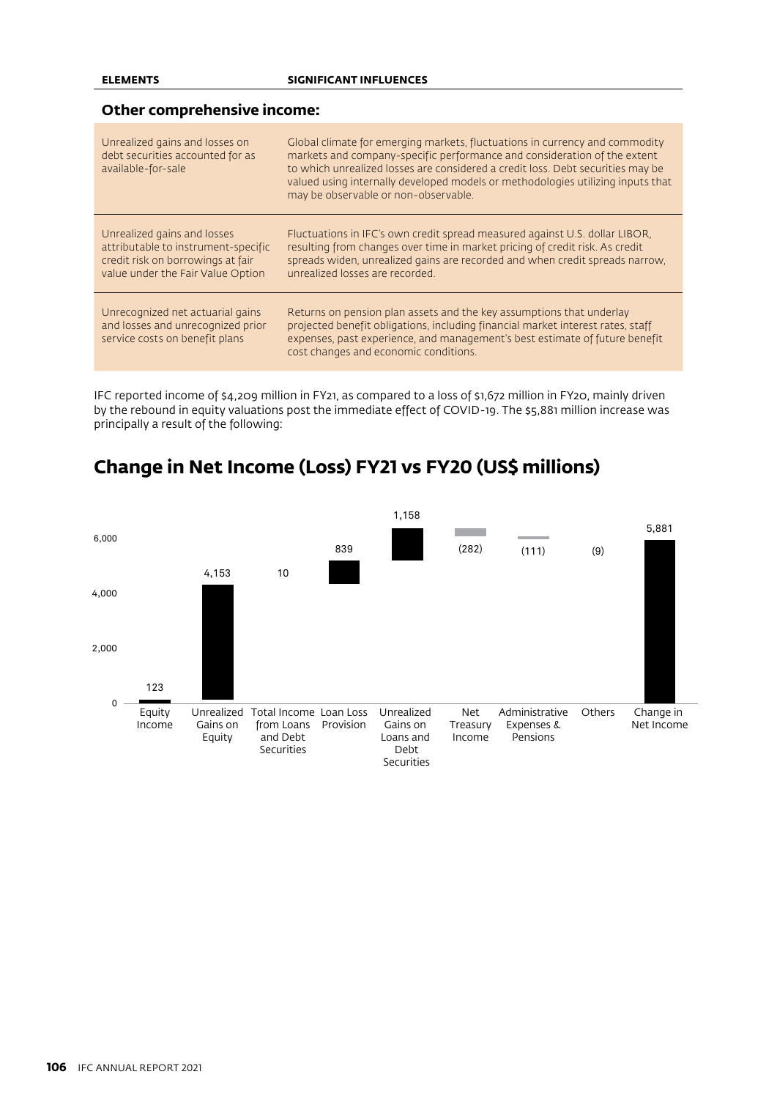#### **Other comprehensive income:**

| Unrealized gains and losses on<br>debt securities accounted for as<br>available-for-sale                                                     | Global climate for emerging markets, fluctuations in currency and commodity<br>markets and company-specific performance and consideration of the extent<br>to which unrealized losses are considered a credit loss. Debt securities may be<br>valued using internally developed models or methodologies utilizing inputs that<br>may be observable or non-observable. |
|----------------------------------------------------------------------------------------------------------------------------------------------|-----------------------------------------------------------------------------------------------------------------------------------------------------------------------------------------------------------------------------------------------------------------------------------------------------------------------------------------------------------------------|
| Unrealized gains and losses<br>attributable to instrument-specific<br>credit risk on borrowings at fair<br>value under the Fair Value Option | Fluctuations in IFC's own credit spread measured against U.S. dollar LIBOR,<br>resulting from changes over time in market pricing of credit risk. As credit<br>spreads widen, unrealized gains are recorded and when credit spreads narrow,<br>unrealized losses are recorded.                                                                                        |
| Unrecognized net actuarial gains<br>and losses and unrecognized prior<br>service costs on benefit plans                                      | Returns on pension plan assets and the key assumptions that underlay<br>projected benefit obligations, including financial market interest rates, staff<br>expenses, past experience, and management's best estimate of future benefit<br>cost changes and economic conditions.                                                                                       |

IFC reported income of \$4,209 million in FY21, as compared to a loss of \$1,672 million in FY20, mainly driven by the rebound in equity valuations post the immediate effect of COVID-19. The \$5,881 million increase was principally a result of the following:

# **Change in Net Income (Loss) FY21 vs FY20 (US\$ millions)**

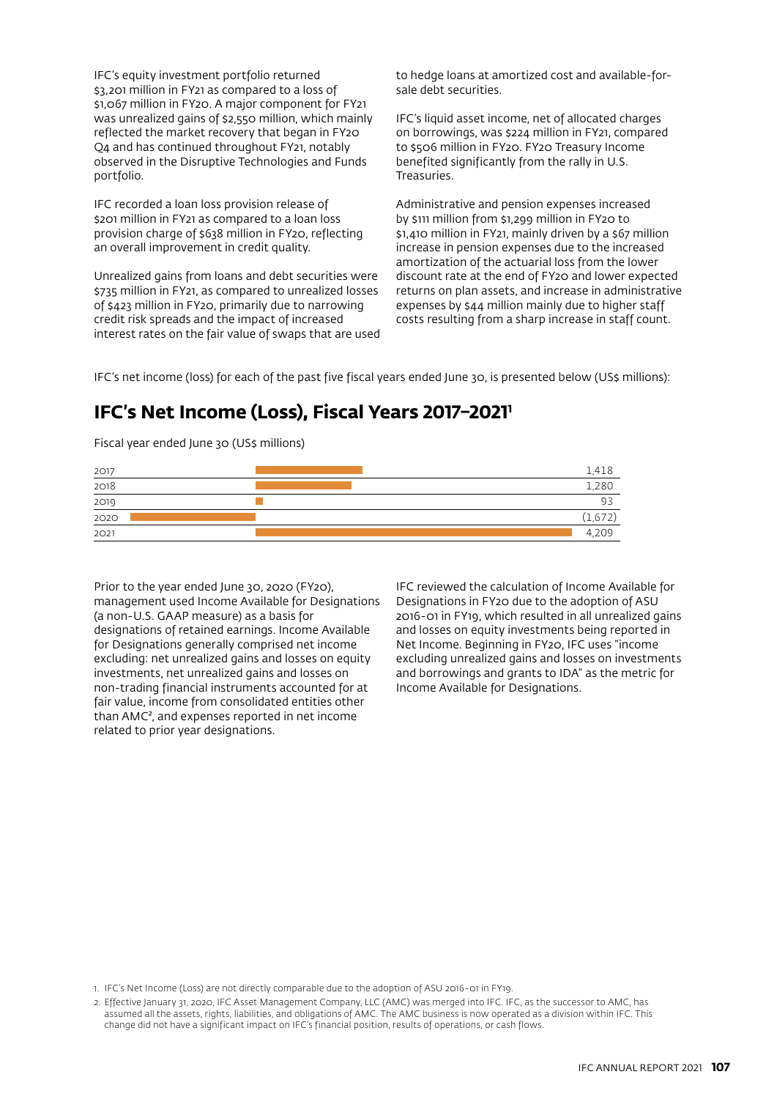IFC's equity investment portfolio returned \$3,201 million in FY21 as compared to a loss of \$1,067 million in FY20. A major component for FY21 was unrealized gains of \$2,550 million, which mainly reflected the market recovery that began in FY20 Q4 and has continued throughout FY21, notably observed in the Disruptive Technologies and Funds portfolio.

IFC recorded a loan loss provision release of \$201 million in FY21 as compared to a loan loss provision charge of \$638 million in FY20, reflecting an overall improvement in credit quality.

Unrealized gains from loans and debt securities were \$735 million in FY21, as compared to unrealized losses of \$423 million in FY20, primarily due to narrowing credit risk spreads and the impact of increased interest rates on the fair value of swaps that are used to hedge loans at amortized cost and available-forsale debt securities.

IFC's liquid asset income, net of allocated charges on borrowings, was \$224 million in FY21, compared to \$506 million in FY20. FY20 Treasury Income benefited significantly from the rally in U.S. Treasuries.

Administrative and pension expenses increased by \$111 million from \$1,299 million in FY20 to \$1,410 million in FY21, mainly driven by a \$67 million increase in pension expenses due to the increased amortization of the actuarial loss from the lower discount rate at the end of FY20 and lower expected returns on plan assets, and increase in administrative expenses by \$44 million mainly due to higher staff costs resulting from a sharp increase in staff count.

IFC's net income (loss) for each of the past five fiscal years ended June 30, is presented below (US\$ millions):

## **IFC's Net Income (Loss), Fiscal Years 2017–20211**

Fiscal year ended June 30 (US\$ millions)

| 2017 | 1,418   |
|------|---------|
| 2018 | 1,280   |
| 2019 | ດ:      |
| 2020 | (1.672) |
| 2021 | 4,209   |

Prior to the year ended June 30, 2020 (FY20), management used Income Available for Designations (a non-U.S. GAAP measure) as a basis for designations of retained earnings. Income Available for Designations generally comprised net income excluding: net unrealized gains and losses on equity investments, net unrealized gains and losses on non-trading financial instruments accounted for at fair value, income from consolidated entities other than AMC², and expenses reported in net income related to prior year designations.

IFC reviewed the calculation of Income Available for Designations in FY20 due to the adoption of ASU 2016-01 in FY19, which resulted in all unrealized gains and losses on equity investments being reported in Net Income. Beginning in FY20, IFC uses "income excluding unrealized gains and losses on investments and borrowings and grants to IDA" as the metric for Income Available for Designations.

1. IFC's Net Income (Loss) are not directly comparable due to the adoption of ASU 2016-01 in FY19.

2. Effective January 31, 2020, IFC Asset Management Company, LLC (AMC) was merged into IFC. IFC, as the successor to AMC, has assumed all the assets, rights, liabilities, and obligations of AMC. The AMC business is now operated as a division within IFC. This change did not have a significant impact on IFC's financial position, results of operations, or cash flows.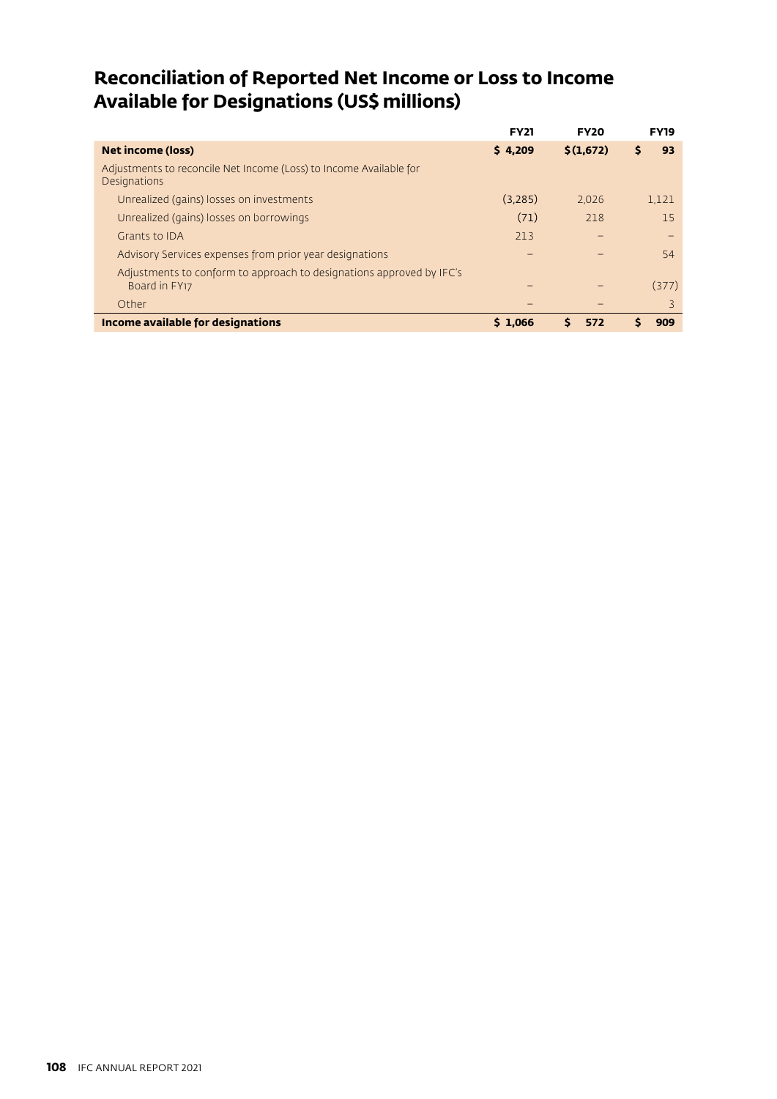# **Reconciliation of Reported Net Income or Loss to Income Available for Designations (US\$ millions)**

|                                                                                           | <b>FY21</b> | <b>FY20</b> | <b>FY19</b> |
|-------------------------------------------------------------------------------------------|-------------|-------------|-------------|
| <b>Net income (loss)</b>                                                                  | \$4,209     | \$(1,672)   | 93          |
| Adjustments to reconcile Net Income (Loss) to Income Available for<br><b>Designations</b> |             |             |             |
| Unrealized (gains) losses on investments                                                  | (3,285)     | 2,026       | 1,121       |
| Unrealized (gains) losses on borrowings                                                   | (71)        | 218         | 15          |
| Grants to IDA                                                                             | 213         |             |             |
| Advisory Services expenses from prior year designations                                   |             |             | 54          |
| Adjustments to conform to approach to designations approved by IFC's<br>Board in FY17     |             |             | (377)       |
| Other                                                                                     |             |             |             |
| Income available for designations                                                         | \$1.066     | Ŝ<br>572    | 909         |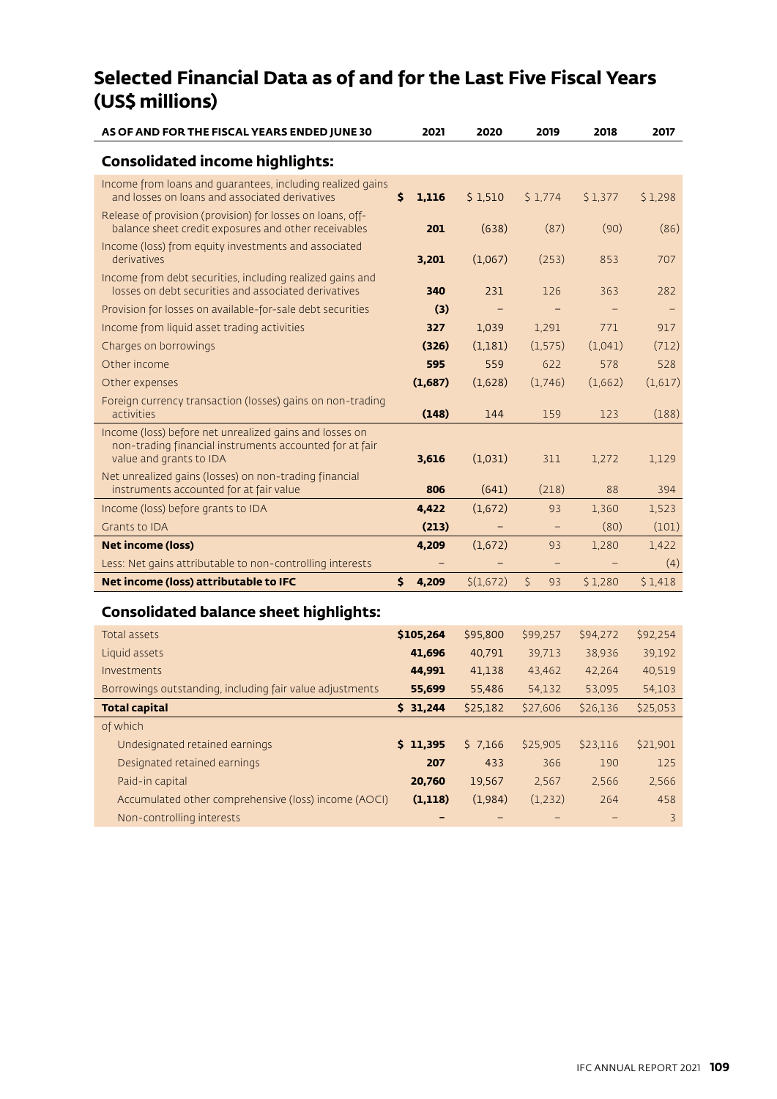# **Selected Financial Data as of and for the Last Five Fiscal Years (US\$ millions)**

| AS OF AND FOR THE FISCAL YEARS ENDED JUNE 30                                                                                                  | 2021                  | 2020      | 2019               | 2018    | 2017    |
|-----------------------------------------------------------------------------------------------------------------------------------------------|-----------------------|-----------|--------------------|---------|---------|
| <b>Consolidated income highlights:</b>                                                                                                        |                       |           |                    |         |         |
| Income from loans and quarantees, including realized gains<br>and losses on loans and associated derivatives                                  | $\mathsf{S}$<br>1,116 | \$1,510   | \$1,774            | \$1,377 | \$1,298 |
| Release of provision (provision) for losses on loans, off-<br>balance sheet credit exposures and other receivables                            | 201                   | (638)     | (87)               | (90)    | (86)    |
| Income (loss) from equity investments and associated<br>derivatives                                                                           | 3,201                 | (1,067)   | (253)              | 853     | 707     |
| Income from debt securities, including realized gains and<br>losses on debt securities and associated derivatives                             | 340                   | 231       | 126                | 363     | 282     |
| Provision for losses on available-for-sale debt securities                                                                                    | (3)                   |           |                    |         |         |
| Income from liquid asset trading activities                                                                                                   | 327                   | 1,039     | 1,291              | 771     | 917     |
| Charges on borrowings                                                                                                                         | (326)                 | (1,181)   | (1, 575)           | (1.041) | (712)   |
| Other income                                                                                                                                  | 595                   | 559       | 622                | 578     | 528     |
| Other expenses                                                                                                                                | (1,687)               | (1,628)   | (1,746)            | (1,662) | (1,617) |
| Foreign currency transaction (losses) gains on non-trading<br>activities                                                                      | (148)                 | 144       | 159                | 123     | (188)   |
| Income (loss) before net unrealized gains and losses on<br>non-trading financial instruments accounted for at fair<br>value and grants to IDA | 3,616                 | (1,031)   | 311                | 1,272   | 1,129   |
| Net unrealized gains (losses) on non-trading financial<br>instruments accounted for at fair value                                             | 806                   | (641)     | (218)              | 88      | 394     |
| Income (loss) before grants to IDA                                                                                                            | 4,422                 | (1,672)   | 93                 | 1,360   | 1,523   |
| Grants to IDA                                                                                                                                 | (213)                 |           |                    | (80)    | (101)   |
| <b>Net income (loss)</b>                                                                                                                      | 4,209                 | (1,672)   | 93                 | 1,280   | 1,422   |
| Less: Net gains attributable to non-controlling interests                                                                                     |                       |           |                    |         | (4)     |
| Net income (loss) attributable to IFC                                                                                                         | Š.<br>4,209           | \$(1,672) | $\mathsf{S}$<br>93 | \$1,280 | \$1,418 |

### **Consolidated balance sheet highlights:**

| Total assets                                             | \$105,264 | \$95,800 | \$99,257 | \$94,272 | \$92,254 |
|----------------------------------------------------------|-----------|----------|----------|----------|----------|
| Liquid assets                                            | 41,696    | 40,791   | 39,713   | 38,936   | 39,192   |
| Investments                                              | 44,991    | 41,138   | 43,462   | 42,264   | 40,519   |
| Borrowings outstanding, including fair value adjustments | 55,699    | 55,486   | 54,132   | 53,095   | 54,103   |
| <b>Total capital</b>                                     | \$31,244  | \$25,182 | \$27,606 | \$26,136 | \$25,053 |
| of which                                                 |           |          |          |          |          |
| Undesignated retained earnings                           | \$11,395  | 57,166   | \$25,905 | \$23,116 | \$21,901 |
| Designated retained earnings                             | 207       | 433      | 366      | 190      | 125      |
| Paid-in capital                                          | 20.760    | 19,567   | 2,567    | 2.566    | 2,566    |
| Accumulated other comprehensive (loss) income (AOCI)     | (1,118)   | (1,984)  | (1,232)  | 264      | 458      |
| Non-controlling interests                                |           |          |          |          | 3        |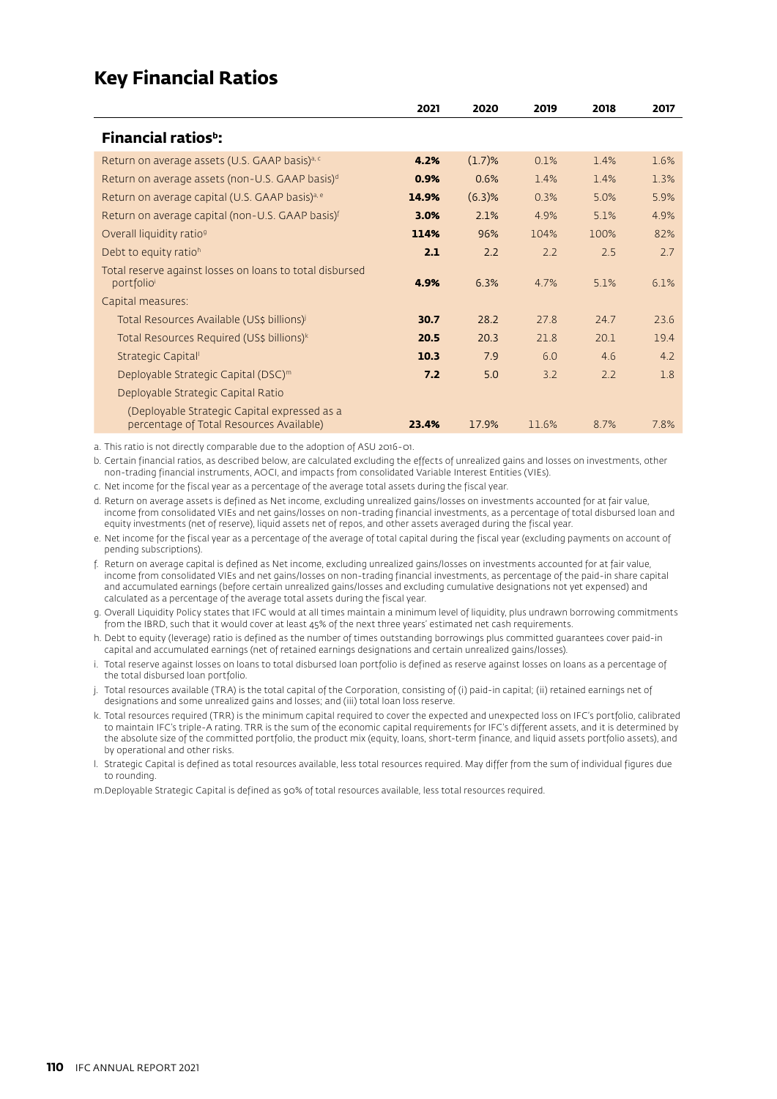### **Key Financial Ratios**

|                                                                                          | 2021  | 2020      | 2019  | 2018 | 2017 |
|------------------------------------------------------------------------------------------|-------|-----------|-------|------|------|
| Financial ratios <sup>b</sup> :                                                          |       |           |       |      |      |
| Return on average assets (U.S. GAAP basis) <sup>a, c</sup>                               | 4.2%  | $(1.7)$ % | 0.1%  | 1.4% | 1.6% |
| Return on average assets (non-U.S. GAAP basis) <sup>d</sup>                              | 0.9%  | 0.6%      | 1.4%  | 1.4% | 1.3% |
| Return on average capital (U.S. GAAP basis) <sup>a, e</sup>                              | 14.9% | $(6.3)$ % | 0.3%  | 5.0% | 5.9% |
| Return on average capital (non-U.S. GAAP basis)f                                         | 3.0%  | 2.1%      | 4.9%  | 5.1% | 4.9% |
| Overall liquidity ratio <sup>9</sup>                                                     | 114%  | 96%       | 104%  | 100% | 82%  |
| Debt to equity ratio <sup>h</sup>                                                        | 2.1   | 2.2       | 2.2   | 2.5  | 2.7  |
| Total reserve against losses on loans to total disbursed<br>portfolioi                   | 4.9%  | 6.3%      | 4.7%  | 5.1% | 6.1% |
| Capital measures:                                                                        |       |           |       |      |      |
| Total Resources Available (US\$ billions) <sup>j</sup>                                   | 30.7  | 28.2      | 27.8  | 24.7 | 23.6 |
| Total Resources Required (US\$ billions) <sup>k</sup>                                    | 20.5  | 20.3      | 21.8  | 20.1 | 19.4 |
| Strategic Capital                                                                        | 10.3  | 7.9       | 6.0   | 4.6  | 4.2  |
| Deployable Strategic Capital (DSC) <sup>m</sup>                                          | 7.2   | 5.0       | 3.2   | 2.2  | 1.8  |
| Deployable Strategic Capital Ratio                                                       |       |           |       |      |      |
| (Deployable Strategic Capital expressed as a<br>percentage of Total Resources Available) | 23.4% | 17.9%     | 11.6% | 8.7% | 7.8% |

a. This ratio is not directly comparable due to the adoption of ASU 2016-01.

b. Certain financial ratios, as described below, are calculated excluding the effects of unrealized gains and losses on investments, other non-trading financial instruments, AOCI, and impacts from consolidated Variable Interest Entities (VIEs).

c. Net income for the fiscal year as a percentage of the average total assets during the fiscal year.

d. Return on average assets is defined as Net income, excluding unrealized gains/losses on investments accounted for at fair value, income from consolidated VIEs and net gains/losses on non-trading financial investments, as a percentage of total disbursed loan and equity investments (net of reserve), liquid assets net of repos, and other assets averaged during the fiscal year.

- e. Net income for the fiscal year as a percentage of the average of total capital during the fiscal year (excluding payments on account of pending subscriptions).
- f. Return on average capital is defined as Net income, excluding unrealized gains/losses on investments accounted for at fair value, income from consolidated VIEs and net gains/losses on non-trading financial investments, as percentage of the paid-in share capital and accumulated earnings (before certain unrealized gains/losses and excluding cumulative designations not yet expensed) and calculated as a percentage of the average total assets during the fiscal year.
- g. Overall Liquidity Policy states that IFC would at all times maintain a minimum level of liquidity, plus undrawn borrowing commitments from the IBRD, such that it would cover at least 45% of the next three years' estimated net cash requirements.
- h. Debt to equity (leverage) ratio is defined as the number of times outstanding borrowings plus committed guarantees cover paid-in capital and accumulated earnings (net of retained earnings designations and certain unrealized gains/losses).
- i. Total reserve against losses on loans to total disbursed loan portfolio is defined as reserve against losses on loans as a percentage of the total disbursed loan portfolio.

j. Total resources available (TRA) is the total capital of the Corporation, consisting of (i) paid-in capital; (ii) retained earnings net of designations and some unrealized gains and losses; and (iii) total loan loss reserve.

- k. Total resources required (TRR) is the minimum capital required to cover the expected and unexpected loss on IFC's portfolio, calibrated to maintain IFC's triple-A rating. TRR is the sum of the economic capital requirements for IFC's different assets, and it is determined by the absolute size of the committed portfolio, the product mix (equity, loans, short-term finance, and liquid assets portfolio assets), and by operational and other risks.
- l. Strategic Capital is defined as total resources available, less total resources required. May differ from the sum of individual figures due to rounding.

m.Deployable Strategic Capital is defined as 90% of total resources available, less total resources required.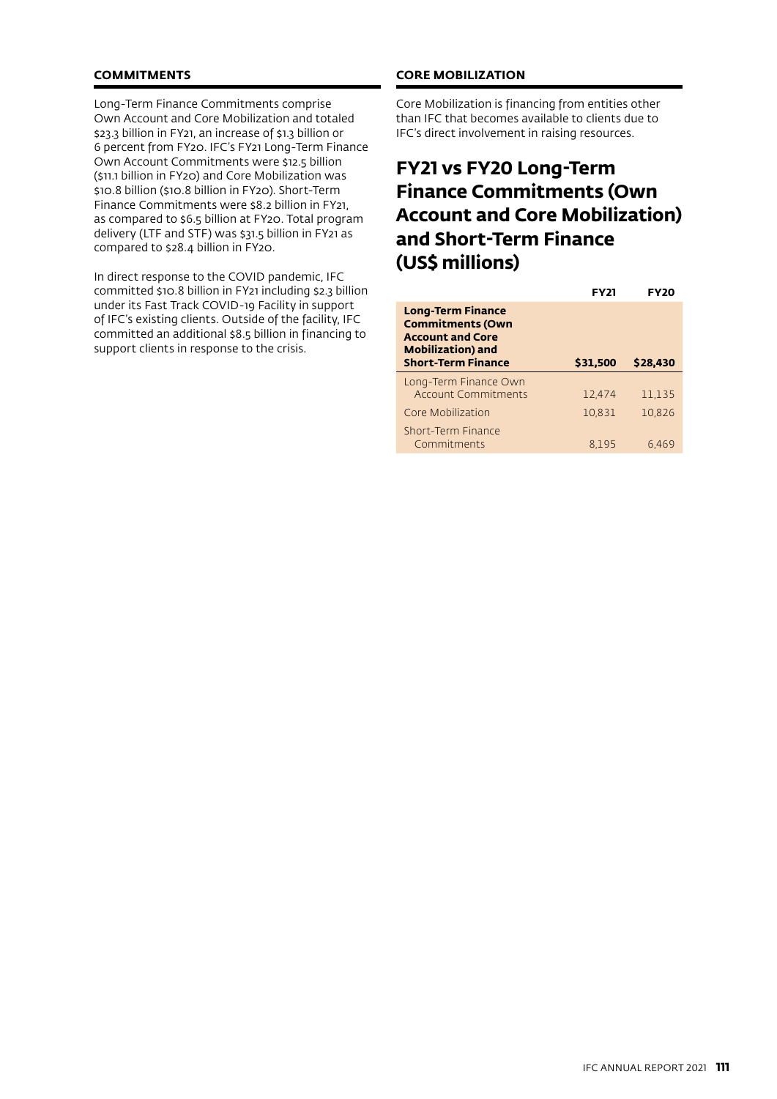#### **COMMITMENTS**

Long-Term Finance Commitments comprise Own Account and Core Mobilization and totaled \$23.3 billion in FY21, an increase of \$1.3 billion or 6 percent from FY20. IFC's FY21 Long-Term Finance Own Account Commitments were \$12.5 billion (\$11.1 billion in FY20) and Core Mobilization was \$10.8 billion (\$10.8 billion in FY20). Short-Term Finance Commitments were \$8.2 billion in FY21, as compared to \$6.5 billion at FY20. Total program delivery (LTF and STF) was \$31.5 billion in FY21 as compared to \$28.4 billion in FY20.

In direct response to the COVID pandemic, IFC committed \$10.8 billion in FY21 including \$2.3 billion under its Fast Track COVID-19 Facility in support of IFC's existing clients. Outside of the facility, IFC committed an additional \$8.5 billion in financing to support clients in response to the crisis.

#### **CORE MOBILIZATION**

Core Mobilization is financing from entities other than IFC that becomes available to clients due to IFC's direct involvement in raising resources.

### **FY21 vs FY20 Long-Term Finance Commitments (Own Account and Core Mobilization) and Short-Term Finance (US\$ millions)**

|                                                                                                                                          | <b>FY21</b> | <b>FY20</b> |
|------------------------------------------------------------------------------------------------------------------------------------------|-------------|-------------|
| <b>Long-Term Finance</b><br><b>Commitments (Own</b><br><b>Account and Core</b><br><b>Mobilization</b> ) and<br><b>Short-Term Finance</b> | \$31,500    | \$28,430    |
| Long-Term Finance Own<br><b>Account Commitments</b>                                                                                      | 12,474      | 11,135      |
| Core Mobilization<br>Short-Term Finance                                                                                                  | 10,831      | 10,826      |
| Commitments                                                                                                                              | 8.195       | 6.469       |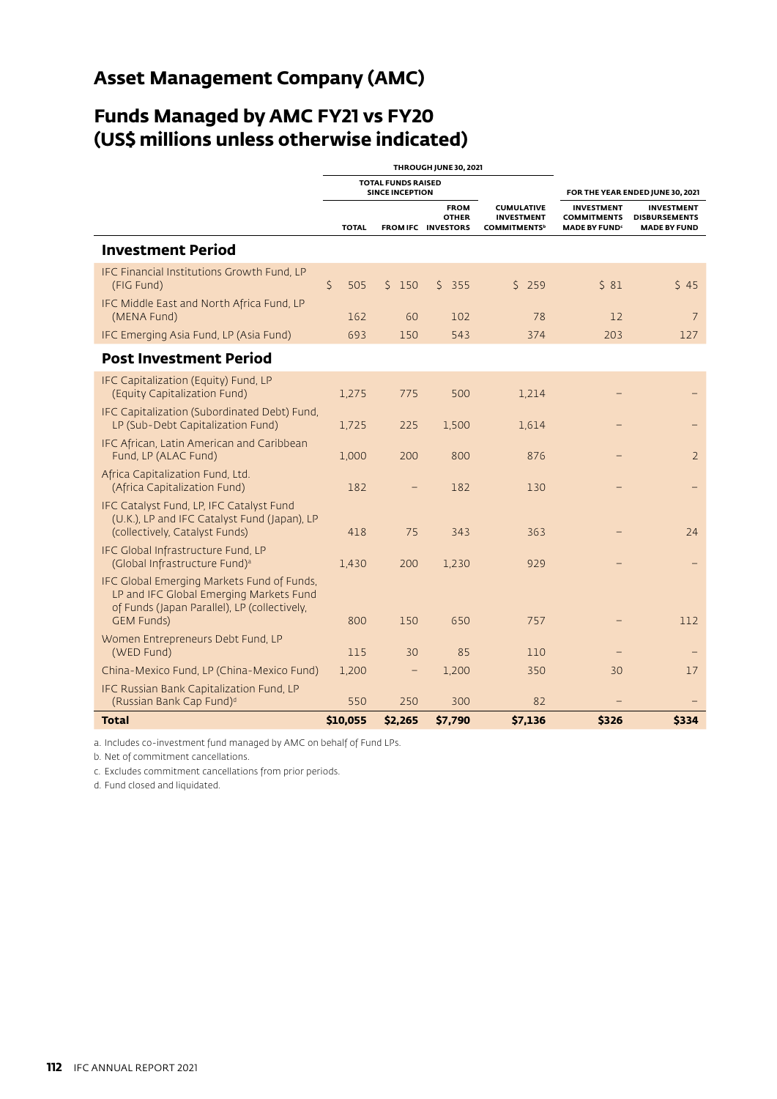### **Asset Management Company (AMC)**

## **Funds Managed by AMC FY21 vs FY20 (US\$ millions unless otherwise indicated)**

|                                                                                                                                                            | THROUGH JUNE 30, 2021                               |                   |                                                   |                                                                           |                                                                      |                                                                  |
|------------------------------------------------------------------------------------------------------------------------------------------------------------|-----------------------------------------------------|-------------------|---------------------------------------------------|---------------------------------------------------------------------------|----------------------------------------------------------------------|------------------------------------------------------------------|
|                                                                                                                                                            | <b>TOTAL FUNDS RAISED</b><br><b>SINCE INCEPTION</b> |                   |                                                   | FOR THE YEAR ENDED JUNE 30, 2021                                          |                                                                      |                                                                  |
|                                                                                                                                                            | <b>TOTAL</b>                                        |                   | <b>FROM</b><br><b>OTHER</b><br>FROM IFC INVESTORS | <b>CUMULATIVE</b><br><b>INVESTMENT</b><br><b>COMMITMENTS</b> <sup>b</sup> | <b>INVESTMENT</b><br><b>COMMITMENTS</b><br>MADE BY FUND <sup>®</sup> | <b>INVESTMENT</b><br><b>DISBURSEMENTS</b><br><b>MADE BY FUND</b> |
| <b>Investment Period</b>                                                                                                                                   |                                                     |                   |                                                   |                                                                           |                                                                      |                                                                  |
| IFC Financial Institutions Growth Fund, LP<br>(FIG Fund)                                                                                                   | $\mathsf{S}$<br>505                                 | \$150             | 5.355                                             | 5259                                                                      | 581                                                                  | 545                                                              |
| IFC Middle East and North Africa Fund, LP<br>(MENA Fund)                                                                                                   | 162                                                 | 60                | 102                                               | 78                                                                        | 12                                                                   | 7                                                                |
| IFC Emerging Asia Fund, LP (Asia Fund)                                                                                                                     | 693                                                 | 150               | 543                                               | 374                                                                       | 203                                                                  | 127                                                              |
| <b>Post Investment Period</b>                                                                                                                              |                                                     |                   |                                                   |                                                                           |                                                                      |                                                                  |
| IFC Capitalization (Equity) Fund, LP<br>(Equity Capitalization Fund)                                                                                       | 1,275                                               | 775               | 500                                               | 1,214                                                                     |                                                                      |                                                                  |
| IFC Capitalization (Subordinated Debt) Fund,<br>LP (Sub-Debt Capitalization Fund)                                                                          | 1,725                                               | 225               | 1,500                                             | 1,614                                                                     |                                                                      |                                                                  |
| IFC African, Latin American and Caribbean<br>Fund, LP (ALAC Fund)                                                                                          | 1,000                                               | 200               | 800                                               | 876                                                                       |                                                                      | $\overline{2}$                                                   |
| Africa Capitalization Fund, Ltd.<br>(Africa Capitalization Fund)                                                                                           | 182                                                 |                   | 182                                               | 130                                                                       |                                                                      |                                                                  |
| IFC Catalyst Fund, LP, IFC Catalyst Fund<br>(U.K.), LP and IFC Catalyst Fund (Japan), LP<br>(collectively, Catalyst Funds)                                 | 418                                                 | 75                | 343                                               | 363                                                                       |                                                                      | 24                                                               |
| IFC Global Infrastructure Fund, LP<br>(Global Infrastructure Fund) <sup>a</sup>                                                                            | 1,430                                               | 200               | 1,230                                             | 929                                                                       |                                                                      |                                                                  |
| IFC Global Emerging Markets Fund of Funds,<br>LP and IFC Global Emerging Markets Fund<br>of Funds (Japan Parallel), LP (collectively,<br><b>GEM Funds)</b> | 800                                                 | 150               | 650                                               | 757                                                                       |                                                                      | 112                                                              |
| Women Entrepreneurs Debt Fund, LP<br>(WED Fund)                                                                                                            | 115                                                 | 30                | 85                                                | 110                                                                       |                                                                      |                                                                  |
| China-Mexico Fund, LP (China-Mexico Fund)                                                                                                                  | 1,200                                               | $\qquad \qquad -$ | 1,200                                             | 350                                                                       | 30                                                                   | 17                                                               |
| IFC Russian Bank Capitalization Fund, LP<br>(Russian Bank Cap Fund) <sup>d</sup>                                                                           | 550                                                 | 250               | 300                                               | 82                                                                        |                                                                      |                                                                  |
| <b>Total</b>                                                                                                                                               | \$10,055                                            | \$2,265           | \$7,790                                           | \$7,136                                                                   | \$326                                                                | \$334                                                            |

a. Includes co-investment fund managed by AMC on behalf of Fund LPs.

b. Net of commitment cancellations.

c. Excludes commitment cancellations from prior periods.

d. Fund closed and liquidated.